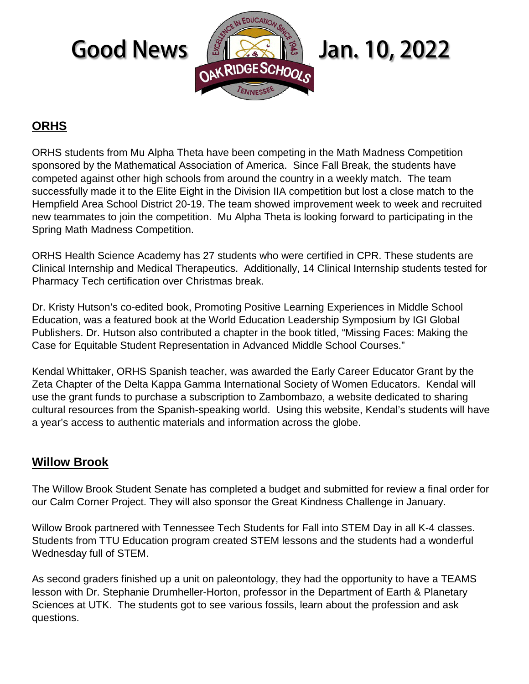

# **ORHS**

ORHS students from Mu Alpha Theta have been competing in the Math Madness Competition sponsored by the Mathematical Association of America. Since Fall Break, the students have competed against other high schools from around the country in a weekly match. The team successfully made it to the Elite Eight in the Division IIA competition but lost a close match to the Hempfield Area School District 20-19. The team showed improvement week to week and recruited new teammates to join the competition. Mu Alpha Theta is looking forward to participating in the Spring Math Madness Competition.

ORHS Health Science Academy has 27 students who were certified in CPR. These students are Clinical Internship and Medical Therapeutics. Additionally, 14 Clinical Internship students tested for Pharmacy Tech certification over Christmas break.

Dr. Kristy Hutson's co-edited book, Promoting Positive Learning Experiences in Middle School Education, was a featured book at the World Education Leadership Symposium by IGI Global Publishers. Dr. Hutson also contributed a chapter in the book titled, "Missing Faces: Making the Case for Equitable Student Representation in Advanced Middle School Courses."

Kendal Whittaker, ORHS Spanish teacher, was awarded the Early Career Educator Grant by the Zeta Chapter of the Delta Kappa Gamma International Society of Women Educators. Kendal will use the grant funds to purchase a subscription to Zambombazo, a website dedicated to sharing cultural resources from the Spanish-speaking world. Using this website, Kendal's students will have a year's access to authentic materials and information across the globe.

## **Willow Brook**

The Willow Brook Student Senate has completed a budget and submitted for review a final order for our Calm Corner Project. They will also sponsor the Great Kindness Challenge in January.

Willow Brook partnered with Tennessee Tech Students for Fall into STEM Day in all K-4 classes. Students from TTU Education program created STEM lessons and the students had a wonderful Wednesday full of STEM.

As second graders finished up a unit on paleontology, they had the opportunity to have a TEAMS lesson with Dr. Stephanie Drumheller-Horton, professor in the Department of Earth & Planetary Sciences at UTK. The students got to see various fossils, learn about the profession and ask questions.